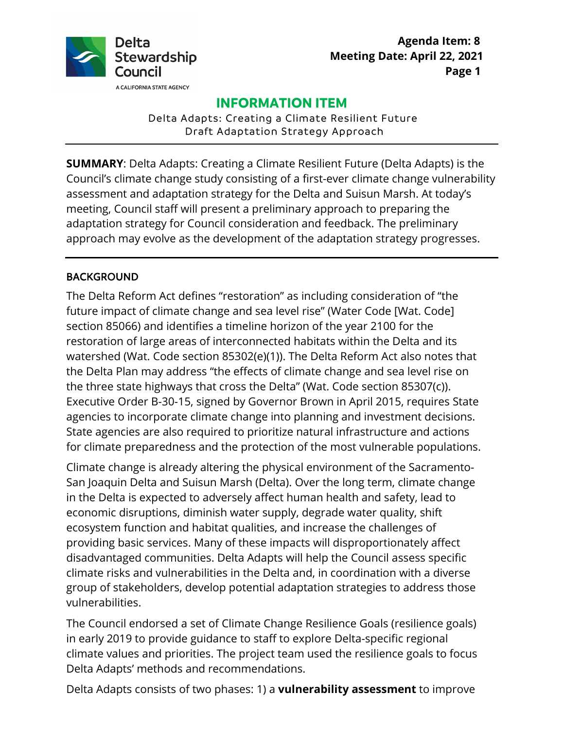

# **INFORMATION ITEM**

Delta Adapts: Creating a Climate Resilient Future Draft Adaptation Strategy Approach

 assessment and adaptation strategy for the Delta and Suisun Marsh. At today's adaptation strategy for Council consideration and feedback. The preliminary approach may evolve as the development of the adaptation strategy progresses. **SUMMARY**: Delta Adapts: Creating a Climate Resilient Future (Delta Adapts) is the Council's climate change study consisting of a first-ever climate change vulnerability meeting, Council staff will present a preliminary approach to preparing the

#### BACKGROUND

 section 85066) and identifies a timeline horizon of the year 2100 for the State agencies are also required to prioritize natural infrastructure and actions The Delta Reform Act defines "restoration" as including consideration of "the future impact of climate change and sea level rise" (Water Code [Wat. Code] restoration of large areas of interconnected habitats within the Delta and its watershed (Wat. Code section 85302(e)(1)). The Delta Reform Act also notes that the Delta Plan may address "the effects of climate change and sea level rise on the three state highways that cross the Delta" (Wat. Code section 85307(c)). Executive Order B-30-15, signed by Governor Brown in April 2015, requires State agencies to incorporate climate change into planning and investment decisions. for climate preparedness and the protection of the most vulnerable populations.

Climate change is already altering the physical environment of the Sacramento-San Joaquin Delta and Suisun Marsh (Delta). Over the long term, climate change in the Delta is expected to adversely affect human health and safety, lead to economic disruptions, diminish water supply, degrade water quality, shift ecosystem function and habitat qualities, and increase the challenges of providing basic services. Many of these impacts will disproportionately affect disadvantaged communities. Delta Adapts will help the Council assess specific climate risks and vulnerabilities in the Delta and, in coordination with a diverse group of stakeholders, develop potential adaptation strategies to address those vulnerabilities.

 in early 2019 to provide guidance to staff to explore Delta-specific regional The Council endorsed a set of Climate Change Resilience Goals (resilience goals) climate values and priorities. The project team used the resilience goals to focus Delta Adapts' methods and recommendations.

Delta Adapts consists of two phases: 1) a **vulnerability assessment** to improve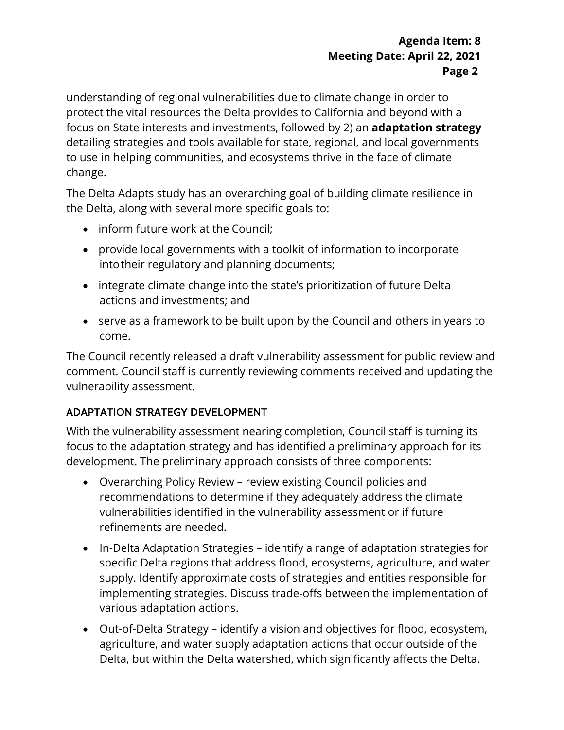to use in helping communities, and ecosystems thrive in the face of climate understanding of regional vulnerabilities due to climate change in order to protect the vital resources the Delta provides to California and beyond with a focus on State interests and investments, followed by 2) an **adaptation strategy**  detailing strategies and tools available for state, regional, and local governments change.

 the Delta, along with several more specific goals to: The Delta Adapts study has an overarching goal of building climate resilience in

- inform future work at the Council;
- provide local governments with a toolkit of information to incorporate intotheir regulatory and planning documents;
- • integrate climate change into the state's prioritization of future Delta actions and investments; and
- serve as a framework to be built upon by the Council and others in years to come.

 vulnerability assessment. The Council recently released a draft vulnerability assessment for public review and comment. Council staff is currently reviewing comments received and updating the

## ADAPTATION STRATEGY DEVELOPMENT

 With the vulnerability assessment nearing completion, Council staff is turning its focus to the adaptation strategy and has identified a preliminary approach for its development. The preliminary approach consists of three components:

- • Overarching Policy Review review existing Council policies and recommendations to determine if they adequately address the climate vulnerabilities identified in the vulnerability assessment or if future refinements are needed.
- various adaptation actions. • In-Delta Adaptation Strategies – identify a range of adaptation strategies for specific Delta regions that address flood, ecosystems, agriculture, and water supply. Identify approximate costs of strategies and entities responsible for implementing strategies. Discuss trade-offs between the implementation of
- • Out-of-Delta Strategy identify a vision and objectives for flood, ecosystem, Delta, but within the Delta watershed, which significantly affects the Delta.agriculture, and water supply adaptation actions that occur outside of the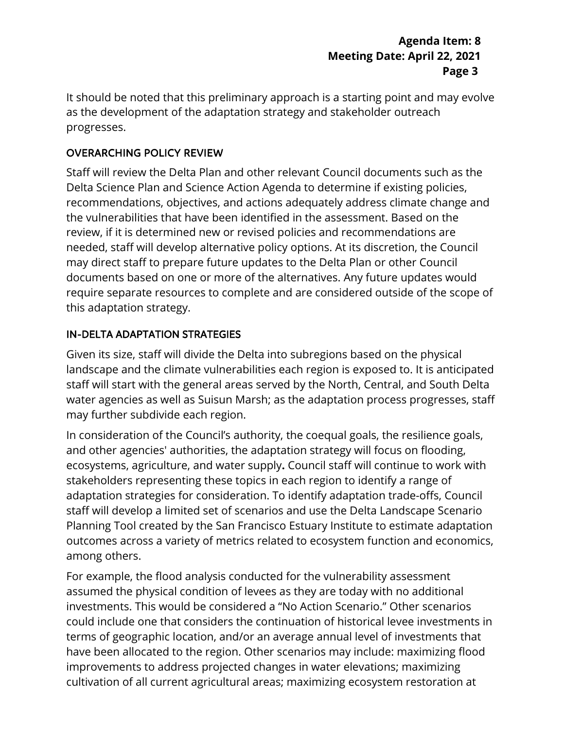#### **Agenda Item: 8 Meeting Date: April 22, 2021 Page 3**

It should be noted that this preliminary approach is a starting point and may evolve as the development of the adaptation strategy and stakeholder outreach progresses.

## OVERARCHING POLICY REVIEW

 this adaptation strategy. Staff will review the Delta Plan and other relevant Council documents such as the Delta Science Plan and Science Action Agenda to determine if existing policies, recommendations, objectives, and actions adequately address climate change and the vulnerabilities that have been identified in the assessment. Based on the review, if it is determined new or revised policies and recommendations are needed, staff will develop alternative policy options. At its discretion, the Council may direct staff to prepare future updates to the Delta Plan or other Council documents based on one or more of the alternatives. Any future updates would require separate resources to complete and are considered outside of the scope of

## IN-DELTA ADAPTATION STRATEGIES

Given its size, staff will divide the Delta into subregions based on the physical landscape and the climate vulnerabilities each region is exposed to. It is anticipated staff will start with the general areas served by the North, Central, and South Delta water agencies as well as Suisun Marsh; as the adaptation process progresses, staff may further subdivide each region.

 In consideration of the Council's authority, the coequal goals, the resilience goals, outcomes across a variety of metrics related to ecosystem function and economics, and other agencies' authorities, the adaptation strategy will focus on flooding, ecosystems, agriculture, and water supply**.** Council staff will continue to work with stakeholders representing these topics in each region to identify a range of adaptation strategies for consideration. To identify adaptation trade-offs, Council staff will develop a limited set of scenarios and use the Delta Landscape Scenario Planning Tool created by the San Francisco Estuary Institute to estimate adaptation among others.

 For example, the flood analysis conducted for the vulnerability assessment could include one that considers the continuation of historical levee investments in assumed the physical condition of levees as they are today with no additional investments. This would be considered a "No Action Scenario." Other scenarios terms of geographic location, and/or an average annual level of investments that have been allocated to the region. Other scenarios may include: maximizing flood improvements to address projected changes in water elevations; maximizing cultivation of all current agricultural areas; maximizing ecosystem restoration at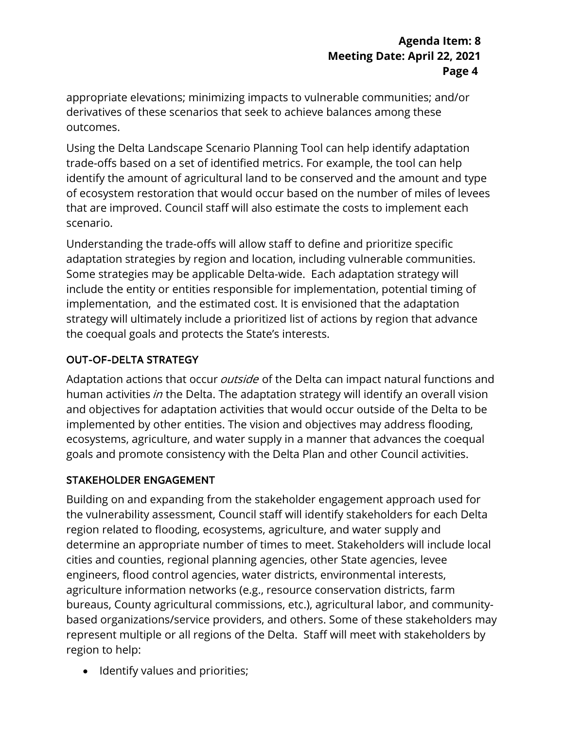appropriate elevations; minimizing impacts to vulnerable communities; and/or derivatives of these scenarios that seek to achieve balances among these outcomes.

 Using the Delta Landscape Scenario Planning Tool can help identify adaptation trade-offs based on a set of identified metrics. For example, the tool can help identify the amount of agricultural land to be conserved and the amount and type of ecosystem restoration that would occur based on the number of miles of levees that are improved. Council staff will also estimate the costs to implement each scenario.

 adaptation strategies by region and location, including vulnerable communities. implementation, and the estimated cost. It is envisioned that the adaptation Understanding the trade-offs will allow staff to define and prioritize specific Some strategies may be applicable Delta-wide. Each adaptation strategy will include the entity or entities responsible for implementation, potential timing of strategy will ultimately include a prioritized list of actions by region that advance the coequal goals and protects the State's interests.

## OUT-OF-DELTA STRATEGY

human activities *in* the Delta. The adaptation strategy will identify an overall vision and objectives for adaptation activities that would occur outside of the Delta to be ecosystems, agriculture, and water supply in a manner that advances the coequal Adaptation actions that occur *outside* of the Delta can impact natural functions and implemented by other entities. The vision and objectives may address flooding, goals and promote consistency with the Delta Plan and other Council activities.

## STAKEHOLDER ENGAGEMENT

 Building on and expanding from the stakeholder engagement approach used for represent multiple or all regions of the Delta. Staff will meet with stakeholders by region to help: the vulnerability assessment, Council staff will identify stakeholders for each Delta region related to flooding, ecosystems, agriculture, and water supply and determine an appropriate number of times to meet. Stakeholders will include local cities and counties, regional planning agencies, other State agencies, levee engineers, flood control agencies, water districts, environmental interests, agriculture information networks (e.g., resource conservation districts, farm bureaus, County agricultural commissions, etc.), agricultural labor, and communitybased organizations/service providers, and others. Some of these stakeholders may

• Identify values and priorities;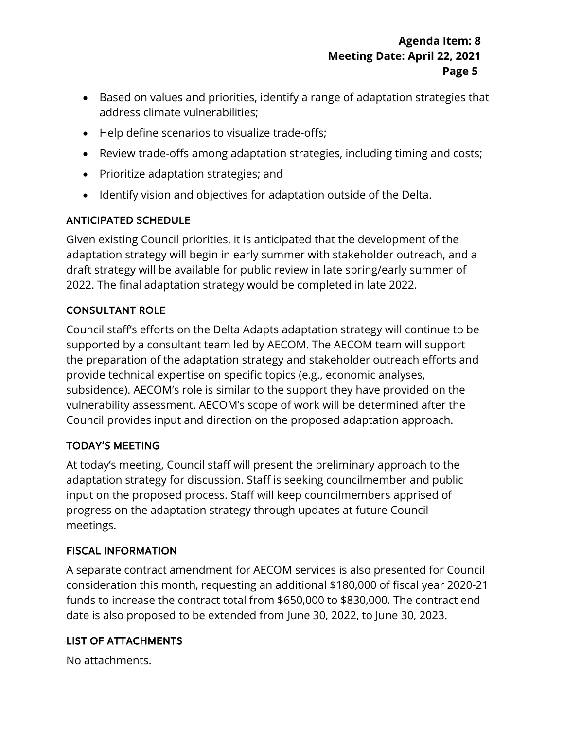- Based on values and priorities, identify a range of adaptation strategies that address climate vulnerabilities;
- Help define scenarios to visualize trade-offs;
- Review trade-offs among adaptation strategies, including timing and costs;
- Prioritize adaptation strategies; and
- Identify vision and objectives for adaptation outside of the Delta.

## ANTICIPATED SCHEDULE

 Given existing Council priorities, it is anticipated that the development of the 2022. The final adaptation strategy would be completed in late 2022. adaptation strategy will begin in early summer with stakeholder outreach, and a draft strategy will be available for public review in late spring/early summer of

# CONSULTANT ROLE

 Council staff's efforts on the Delta Adapts adaptation strategy will continue to be the preparation of the adaptation strategy and stakeholder outreach efforts and supported by a consultant team led by AECOM. The AECOM team will support provide technical expertise on specific topics (e.g., economic analyses, subsidence). AECOM's role is similar to the support they have provided on the vulnerability assessment. AECOM's scope of work will be determined after the Council provides input and direction on the proposed adaptation approach.

## TODAY'S MEETING

At today's meeting, Council staff will present the preliminary approach to the adaptation strategy for discussion. Staff is seeking councilmember and public input on the proposed process. Staff will keep councilmembers apprised of progress on the adaptation strategy through updates at future Council meetings.

## FISCAL INFORMATION

 consideration this month, requesting an additional \$180,000 of fiscal year 2020-21 A separate contract amendment for AECOM services is also presented for Council funds to increase the contract total from \$650,000 to \$830,000. The contract end date is also proposed to be extended from June 30, 2022, to June 30, 2023.

## LIST OF ATTACHMENTS

No attachments.